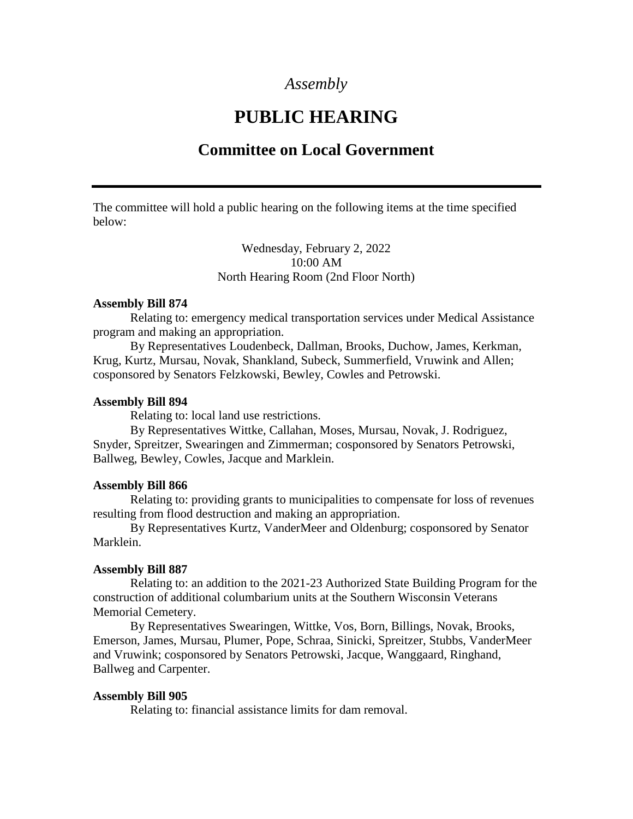## *Assembly*

# **PUBLIC HEARING**

## **Committee on Local Government**

The committee will hold a public hearing on the following items at the time specified below:

> Wednesday, February 2, 2022 10:00 AM North Hearing Room (2nd Floor North)

#### **Assembly Bill 874**

Relating to: emergency medical transportation services under Medical Assistance program and making an appropriation.

By Representatives Loudenbeck, Dallman, Brooks, Duchow, James, Kerkman, Krug, Kurtz, Mursau, Novak, Shankland, Subeck, Summerfield, Vruwink and Allen; cosponsored by Senators Felzkowski, Bewley, Cowles and Petrowski.

#### **Assembly Bill 894**

Relating to: local land use restrictions.

By Representatives Wittke, Callahan, Moses, Mursau, Novak, J. Rodriguez, Snyder, Spreitzer, Swearingen and Zimmerman; cosponsored by Senators Petrowski, Ballweg, Bewley, Cowles, Jacque and Marklein.

#### **Assembly Bill 866**

Relating to: providing grants to municipalities to compensate for loss of revenues resulting from flood destruction and making an appropriation.

By Representatives Kurtz, VanderMeer and Oldenburg; cosponsored by Senator Marklein.

### **Assembly Bill 887**

Relating to: an addition to the 2021-23 Authorized State Building Program for the construction of additional columbarium units at the Southern Wisconsin Veterans Memorial Cemetery.

By Representatives Swearingen, Wittke, Vos, Born, Billings, Novak, Brooks, Emerson, James, Mursau, Plumer, Pope, Schraa, Sinicki, Spreitzer, Stubbs, VanderMeer and Vruwink; cosponsored by Senators Petrowski, Jacque, Wanggaard, Ringhand, Ballweg and Carpenter.

#### **Assembly Bill 905**

Relating to: financial assistance limits for dam removal.